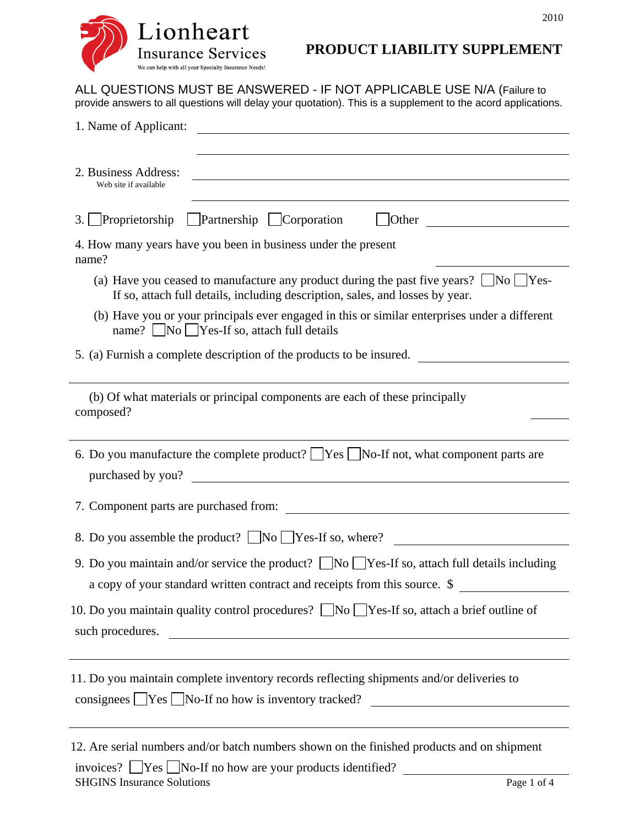## **PRODUCT LIABILITY SUPPLEMENT**

2010

ALL QUESTIONS MUST BE ANSWERED - IF NOT APPLICABLE USE N/A (Failure to provide answers to all questions will delay your quotation). This is a supplement to the acord applications.

| 1. Name of Applicant:<br><u> 1989 - Johann Barbara, martin amerikan basal dan berasal dan berasal dalam basal dan berasal dan berasal dan</u>                                          |
|----------------------------------------------------------------------------------------------------------------------------------------------------------------------------------------|
| 2. Business Address:<br><u> 1980 - Johann John Stein, fransk politik (f. 1980)</u><br>Web site if available                                                                            |
| 3. Proprietorship Partnership Corporation<br>$\vert$ Other<br><u> 1980 - Johann Barbara, martin a</u>                                                                                  |
| 4. How many years have you been in business under the present<br>name?                                                                                                                 |
| (a) Have you ceased to manufacture any product during the past five years? $\Box$ No $\Box$ Yes-<br>If so, attach full details, including description, sales, and losses by year.      |
| (b) Have you or your principals ever engaged in this or similar enterprises under a different<br>name? $\vert$  No    Yes-If so, attach full details                                   |
| 5. (a) Furnish a complete description of the products to be insured.                                                                                                                   |
| (b) Of what materials or principal components are each of these principally<br>composed?                                                                                               |
| 6. Do you manufacture the complete product? $\Box$ Yes $\Box$ No-If not, what component parts are<br><u> 1980 - Andrea Andrew Maria (h. 1980).</u><br>purchased by you?                |
|                                                                                                                                                                                        |
| 8. Do you assemble the product? $\Box$ No $\Box$ Yes-If so, where?                                                                                                                     |
| 9. Do you maintain and/or service the product? $\Box$ No $\Box$ Yes-If so, attach full details including<br>a copy of your standard written contract and receipts from this source. \$ |
| 10. Do you maintain quality control procedures? $\Box$ No $\Box$ Yes-If so, attach a brief outline of<br>such procedures.                                                              |
| 11. Do you maintain complete inventory records reflecting shipments and/or deliveries to<br>consignees $\Box$ Yes $\Box$ No-If no how is inventory tracked?                            |
| 12. Are serial numbers and/or batch numbers shown on the finished products and on shipment                                                                                             |

SHGINS Insurance Solutions Page 1 of 4 invoices?  $\Box$  Yes  $\Box$  No-If no how are your products identified?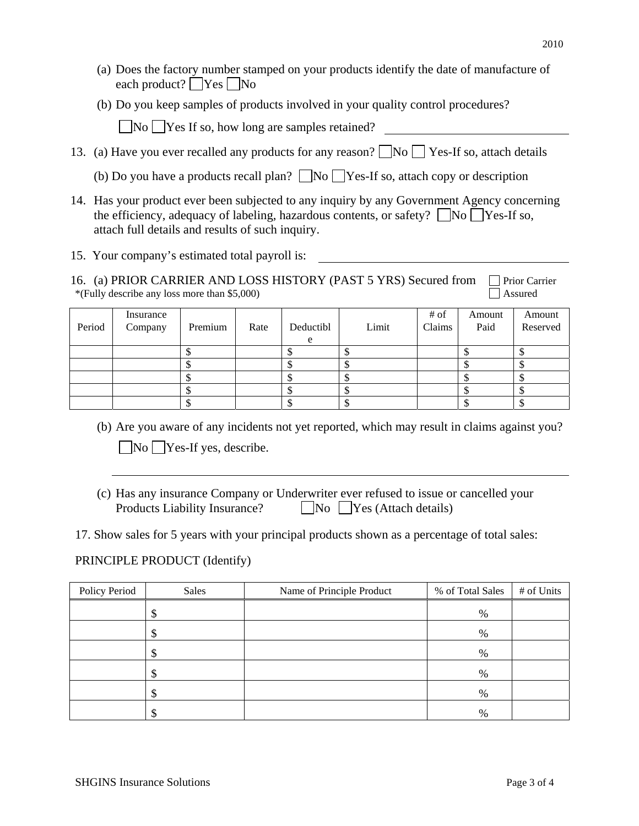- (a) Does the factory number stamped on your products identify the date of manufacture of each product?  $\bigcap$  Yes  $\bigcap$  No
- (b) Do you keep samples of products involved in your quality control procedures?

 $\nabla$ No  $\nabla$ Yes If so, how long are samples retained?

- 13. (a) Have you ever recalled any products for any reason?  $\Box$  No  $\Box$  Yes-If so, attach details
	- (b) Do you have a products recall plan?  $\Box$  No  $\Box$  Yes-If so, attach copy or description
- 14. Has your product ever been subjected to any inquiry by any Government Agency concerning the efficiency, adequacy of labeling, hazardous contents, or safety?  $\Box$  No  $\Box$  Yes-If so, attach full details and results of such inquiry.
- 15. Your company's estimated total payroll is:
- 16. (a) PRIOR CARRIER AND LOSS HISTORY (PAST 5 YRS) Secured from  $\Box$  Prior Carrier \*(Fully describe any loss more than \$5,000)  $\Box$  Assured

| Period | Insurance<br>Company | Premium | Rate | Deductibl | Limit | # of<br>Claims | Amount<br>Paid | Amount<br>Reserved |
|--------|----------------------|---------|------|-----------|-------|----------------|----------------|--------------------|
|        |                      |         |      |           |       |                |                |                    |
|        |                      |         |      |           |       |                |                |                    |
|        |                      |         |      |           |       |                |                |                    |
|        |                      |         |      |           |       |                |                |                    |
|        |                      |         |      |           |       |                |                |                    |

- (b) Are you aware of any incidents not yet reported, which may result in claims against you?  $\n **No** \n **Yes-If yes, describe.**\n$
- (c) Has any insurance Company or Underwriter ever refused to issue or cancelled your Products Liability Insurance?  $\Box$  No  $\Box$  Yes (Attach details)
- 17. Show sales for 5 years with your principal products shown as a percentage of total sales:

## PRINCIPLE PRODUCT (Identify)

| Policy Period | Sales | Name of Principle Product | % of Total Sales | # of Units |
|---------------|-------|---------------------------|------------------|------------|
|               | Φ     |                           | %                |            |
|               |       |                           | $\%$             |            |
|               |       |                           | $\%$             |            |
|               |       |                           | %                |            |
|               | Φ     |                           | $\%$             |            |
|               | S     |                           | %                |            |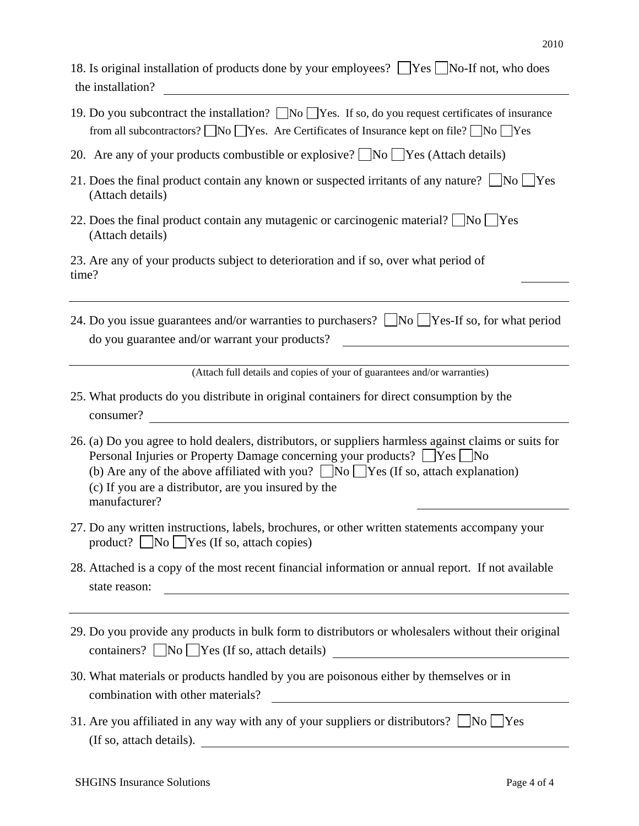| 18. Is original installation of products done by your employees? TYes No-If not, who does<br>the installation?<br><u> 1980 - John Stein, Amerikaansk politiker (</u>                                                                                                                                                                                        |
|-------------------------------------------------------------------------------------------------------------------------------------------------------------------------------------------------------------------------------------------------------------------------------------------------------------------------------------------------------------|
| 19. Do you subcontract the installation? No Yes. If so, do you request certificates of insurance<br>from all subcontractors? $\Box$ No $\Box$ Yes. Are Certificates of Insurance kept on file? $\Box$ No $\Box$ Yes                                                                                                                                         |
| 20. Are any of your products combustible or explosive? $\Box$ No $\Box$ Yes (Attach details)                                                                                                                                                                                                                                                                |
| 21. Does the final product contain any known or suspected irritants of any nature? $\Box$ No $\Box$ Yes<br>(Attach details)                                                                                                                                                                                                                                 |
| 22. Does the final product contain any mutagenic or carcinogenic material? $\Box$ No $\Box$ Yes<br>(Attach details)                                                                                                                                                                                                                                         |
| 23. Are any of your products subject to deterioration and if so, over what period of<br>time?                                                                                                                                                                                                                                                               |
| 24. Do you issue guarantees and/or warranties to purchasers? $\Box$ No $\Box$ Yes-If so, for what period<br>do you guarantee and/or warrant your products?<br><u> 1990 - John Stein, amerikansk politiker</u>                                                                                                                                               |
| (Attach full details and copies of your of guarantees and/or warranties)                                                                                                                                                                                                                                                                                    |
| 25. What products do you distribute in original containers for direct consumption by the<br>consumer?<br><u> 1989 - John Stein, amerikansk politiker (</u>                                                                                                                                                                                                  |
| 26. (a) Do you agree to hold dealers, distributors, or suppliers harmless against claims or suits for<br>Personal Injuries or Property Damage concerning your products? ∠Yes △No<br>(b) Are any of the above affiliated with you? $\Box$ No $\Box$ Yes (If so, attach explanation)<br>(c) If you are a distributor, are you insured by the<br>manufacturer? |
| 27. Do any written instructions, labels, brochures, or other written statements accompany your<br>product? No Yes (If so, attach copies)                                                                                                                                                                                                                    |
| 28. Attached is a copy of the most recent financial information or annual report. If not available<br>state reason:<br><u> 1980 - Johann Barbara, martxa amerikan bashkar (</u>                                                                                                                                                                             |
|                                                                                                                                                                                                                                                                                                                                                             |
| 29. Do you provide any products in bulk form to distributors or wholesalers without their original<br>$\text{contains? } \Box \text{No } \Box \text{Yes (If so, attach details)}$                                                                                                                                                                           |
| 30. What materials or products handled by you are poisonous either by themselves or in<br>combination with other materials?<br><u> 1989 - Johann Barbara, martin a</u>                                                                                                                                                                                      |
| 31. Are you affiliated in any way with any of your suppliers or distributors? $\Box$ No $\Box$ Yes<br>(If so, attach details).                                                                                                                                                                                                                              |